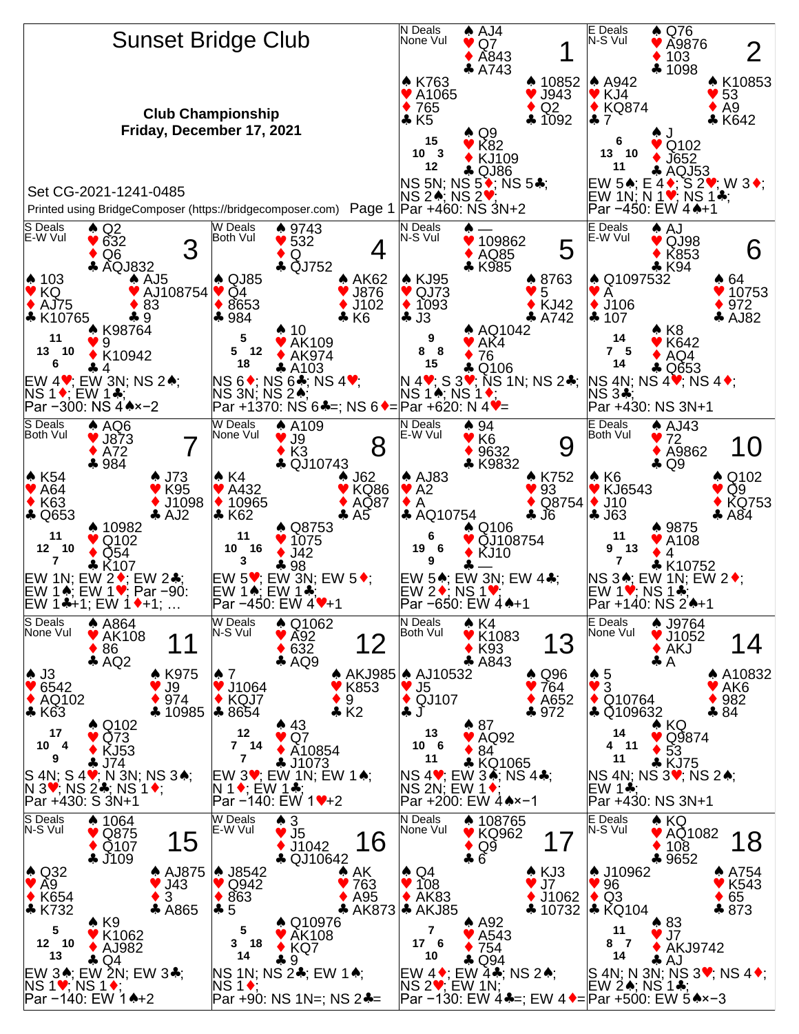